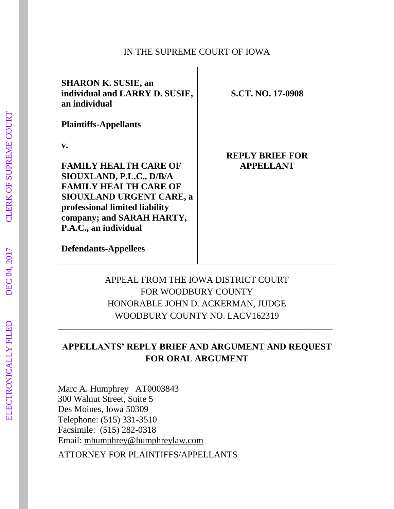#### IN THE SUPREME COURT OF IOWA

| <b>SHARON K. SUSIE, an</b><br>individual and LARRY D. SUSIE,<br>an individual                                                                                                                                             | <b>S.CT. NO. 17-0908</b>                   |
|---------------------------------------------------------------------------------------------------------------------------------------------------------------------------------------------------------------------------|--------------------------------------------|
| <b>Plaintiffs-Appellants</b>                                                                                                                                                                                              |                                            |
| v.<br><b>FAMILY HEALTH CARE OF</b><br>SIOUXLAND, P.L.C., D/B/A<br><b>FAMILY HEALTH CARE OF</b><br><b>SIOUXLAND URGENT CARE, a</b><br>professional limited liability<br>company; and SARAH HARTY,<br>P.A.C., an individual | <b>REPLY BRIEF FOR</b><br><b>APPELLANT</b> |
| <b>Defendants-Appellees</b>                                                                                                                                                                                               |                                            |

# APPEAL FROM THE IOWA DISTRICT COURT FOR WOODBURY COUNTY HONORABLE JOHN D. ACKERMAN, JUDGE WOODBURY COUNTY NO. LACV162319

## **APPELLANTS' REPLY BRIEF AND ARGUMENT AND REQUEST FOR ORAL ARGUMENT**

\_\_\_\_\_\_\_\_\_\_\_\_\_\_\_\_\_\_\_\_\_\_\_\_\_\_\_\_\_\_\_\_\_\_\_\_\_\_\_\_\_\_\_\_\_\_\_\_\_\_\_\_\_\_\_\_\_\_\_\_\_

Marc A. Humphrey AT0003843 300 Walnut Street, Suite 5 Des Moines, Iowa 50309 Telephone: (515) 331-3510 Facsimile: (515) 282-0318 Email: [mhumphrey@humphreylaw.com](mailto:mhumphrey@humphreylaw.com)

ATTORNEY FOR PLAINTIFFS/APPELLANTS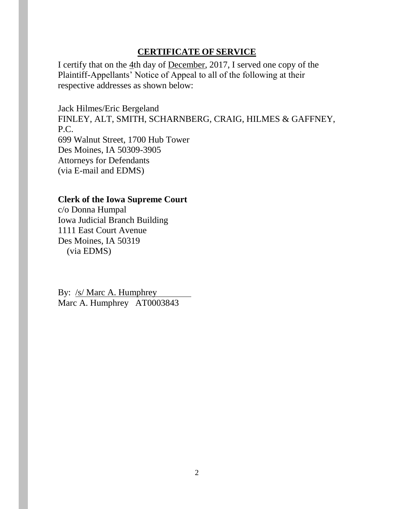#### **CERTIFICATE OF SERVICE**

I certify that on the 4th day of December, 2017, I served one copy of the Plaintiff-Appellants' Notice of Appeal to all of the following at their respective addresses as shown below:

Jack Hilmes/Eric Bergeland FINLEY, ALT, SMITH, SCHARNBERG, CRAIG, HILMES & GAFFNEY, P.C. 699 Walnut Street, 1700 Hub Tower Des Moines, IA 50309-3905 Attorneys for Defendants (via E-mail and EDMS)

#### **Clerk of the Iowa Supreme Court**

c/o Donna Humpal Iowa Judicial Branch Building 1111 East Court Avenue Des Moines, IA 50319 (via EDMS)

By: /s/ Marc A. Humphrey Marc A. Humphrey AT0003843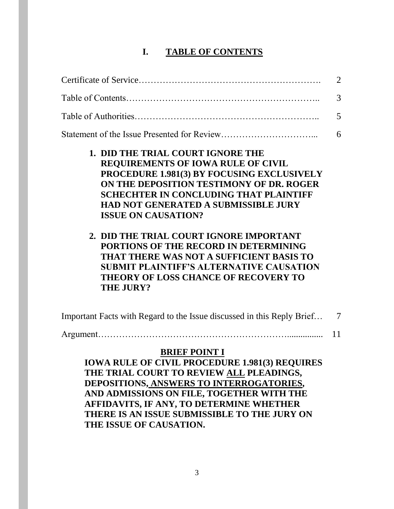## **I. TABLE OF CONTENTS**

|                                                                                                                                                                                                                                                                                                                                                                                                                                                                                                                                                                            | 2 |
|----------------------------------------------------------------------------------------------------------------------------------------------------------------------------------------------------------------------------------------------------------------------------------------------------------------------------------------------------------------------------------------------------------------------------------------------------------------------------------------------------------------------------------------------------------------------------|---|
|                                                                                                                                                                                                                                                                                                                                                                                                                                                                                                                                                                            | 3 |
|                                                                                                                                                                                                                                                                                                                                                                                                                                                                                                                                                                            | 5 |
|                                                                                                                                                                                                                                                                                                                                                                                                                                                                                                                                                                            | 6 |
| <b>1. DID THE TRIAL COURT IGNORE THE</b><br><b>REQUIREMENTS OF IOWA RULE OF CIVIL</b><br><b>PROCEDURE 1.981(3) BY FOCUSING EXCLUSIVELY</b><br>ON THE DEPOSITION TESTIMONY OF DR. ROGER<br><b>SCHECHTER IN CONCLUDING THAT PLAINTIFF</b><br><b>HAD NOT GENERATED A SUBMISSIBLE JURY</b><br><b>ISSUE ON CAUSATION?</b><br>2. DID THE TRIAL COURT IGNORE IMPORTANT<br>PORTIONS OF THE RECORD IN DETERMINING<br>THAT THERE WAS NOT A SUFFICIENT BASIS TO<br><b>SUBMIT PLAINTIFF'S ALTERNATIVE CAUSATION</b><br><b>THEORY OF LOSS CHANCE OF RECOVERY TO</b><br><b>THE JURY?</b> |   |

Important Facts with Regard to the Issue discussed in this Reply Brief… 7 Argument………………………………………………………................ 11

## **BRIEF POINT I**

**IOWA RULE OF CIVIL PROCEDURE 1.981(3) REQUIRES THE TRIAL COURT TO REVIEW ALL PLEADINGS, DEPOSITIONS, ANSWERS TO INTERROGATORIES, AND ADMISSIONS ON FILE, TOGETHER WITH THE AFFIDAVITS, IF ANY, TO DETERMINE WHETHER THERE IS AN ISSUE SUBMISSIBLE TO THE JURY ON THE ISSUE OF CAUSATION.**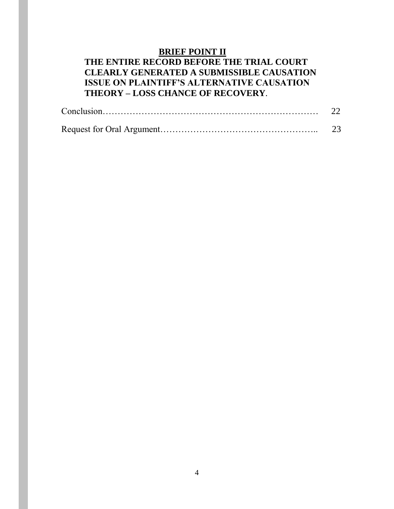# **BRIEF POINT II**

## **THE ENTIRE RECORD BEFORE THE TRIAL COURT CLEARLY GENERATED A SUBMISSIBLE CAUSATION ISSUE ON PLAINTIFF'S ALTERNATIVE CAUSATION THEORY – LOSS CHANCE OF RECOVERY**.

|  | 23 |
|--|----|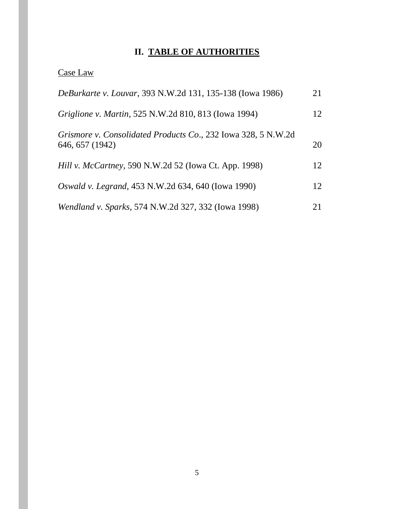# **II. TABLE OF AUTHORITIES**

# Case Law

| DeBurkarte v. Louvar, 393 N.W.2d 131, 135-138 (Iowa 1986)                        |    |
|----------------------------------------------------------------------------------|----|
| Griglione v. Martin, 525 N.W.2d 810, 813 (Iowa 1994)                             | 12 |
| Grismore v. Consolidated Products Co., 232 Iowa 328, 5 N.W.2d<br>646, 657 (1942) | 20 |
| <i>Hill v. McCartney</i> , 590 N.W.2d 52 (Iowa Ct. App. 1998)                    | 12 |
| Oswald v. Legrand, 453 N.W.2d 634, 640 (Iowa 1990)                               | 12 |
| Wendland v. Sparks, 574 N.W.2d 327, 332 (Iowa 1998)                              | 21 |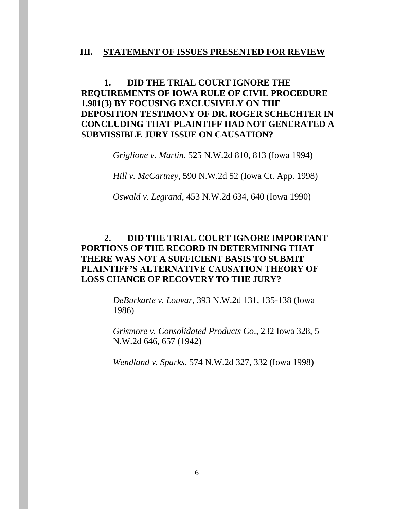#### **III. STATEMENT OF ISSUES PRESENTED FOR REVIEW**

### **1. DID THE TRIAL COURT IGNORE THE REQUIREMENTS OF IOWA RULE OF CIVIL PROCEDURE 1.981(3) BY FOCUSING EXCLUSIVELY ON THE DEPOSITION TESTIMONY OF DR. ROGER SCHECHTER IN CONCLUDING THAT PLAINTIFF HAD NOT GENERATED A SUBMISSIBLE JURY ISSUE ON CAUSATION?**

*Griglione v. Martin*, 525 N.W.2d 810, 813 (Iowa 1994)

*Hill v. McCartney*, 590 N.W.2d 52 (Iowa Ct. App. 1998)

*Oswald v. Legrand*, 453 N.W.2d 634, 640 (Iowa 1990)

## **2. DID THE TRIAL COURT IGNORE IMPORTANT PORTIONS OF THE RECORD IN DETERMINING THAT THERE WAS NOT A SUFFICIENT BASIS TO SUBMIT PLAINTIFF'S ALTERNATIVE CAUSATION THEORY OF LOSS CHANCE OF RECOVERY TO THE JURY?**

*DeBurkarte v. Louvar*, 393 N.W.2d 131, 135-138 (Iowa 1986)

*Grismore v. Consolidated Products Co*., 232 Iowa 328, 5 N.W.2d 646, 657 (1942)

*Wendland v. Sparks*, 574 N.W.2d 327, 332 (Iowa 1998)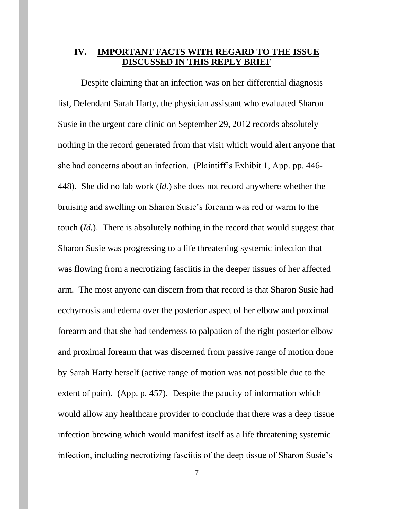#### **IV. IMPORTANT FACTS WITH REGARD TO THE ISSUE DISCUSSED IN THIS REPLY BRIEF**

Despite claiming that an infection was on her differential diagnosis list, Defendant Sarah Harty, the physician assistant who evaluated Sharon Susie in the urgent care clinic on September 29, 2012 records absolutely nothing in the record generated from that visit which would alert anyone that she had concerns about an infection. (Plaintiff's Exhibit 1, App. pp. 446- 448). She did no lab work (*Id*.) she does not record anywhere whether the bruising and swelling on Sharon Susie's forearm was red or warm to the touch (*Id.*). There is absolutely nothing in the record that would suggest that Sharon Susie was progressing to a life threatening systemic infection that was flowing from a necrotizing fasciitis in the deeper tissues of her affected arm. The most anyone can discern from that record is that Sharon Susie had ecchymosis and edema over the posterior aspect of her elbow and proximal forearm and that she had tenderness to palpation of the right posterior elbow and proximal forearm that was discerned from passive range of motion done by Sarah Harty herself (active range of motion was not possible due to the extent of pain). (App. p. 457). Despite the paucity of information which would allow any healthcare provider to conclude that there was a deep tissue infection brewing which would manifest itself as a life threatening systemic infection, including necrotizing fasciitis of the deep tissue of Sharon Susie's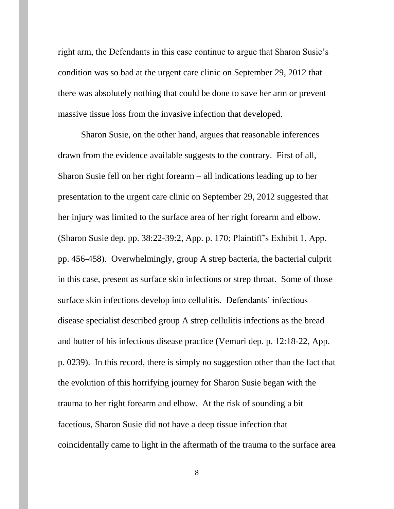right arm, the Defendants in this case continue to argue that Sharon Susie's condition was so bad at the urgent care clinic on September 29, 2012 that there was absolutely nothing that could be done to save her arm or prevent massive tissue loss from the invasive infection that developed.

Sharon Susie, on the other hand, argues that reasonable inferences drawn from the evidence available suggests to the contrary. First of all, Sharon Susie fell on her right forearm – all indications leading up to her presentation to the urgent care clinic on September 29, 2012 suggested that her injury was limited to the surface area of her right forearm and elbow. (Sharon Susie dep. pp. 38:22-39:2, App. p. 170; Plaintiff's Exhibit 1, App. pp. 456-458). Overwhelmingly, group A strep bacteria, the bacterial culprit in this case, present as surface skin infections or strep throat. Some of those surface skin infections develop into cellulitis. Defendants' infectious disease specialist described group A strep cellulitis infections as the bread and butter of his infectious disease practice (Vemuri dep. p. 12:18-22, App. p. 0239). In this record, there is simply no suggestion other than the fact that the evolution of this horrifying journey for Sharon Susie began with the trauma to her right forearm and elbow. At the risk of sounding a bit facetious, Sharon Susie did not have a deep tissue infection that coincidentally came to light in the aftermath of the trauma to the surface area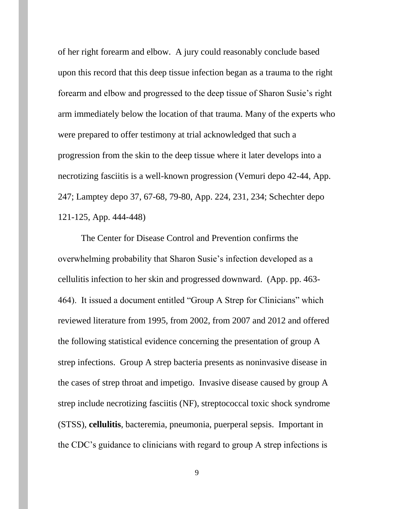of her right forearm and elbow. A jury could reasonably conclude based upon this record that this deep tissue infection began as a trauma to the right forearm and elbow and progressed to the deep tissue of Sharon Susie's right arm immediately below the location of that trauma. Many of the experts who were prepared to offer testimony at trial acknowledged that such a progression from the skin to the deep tissue where it later develops into a necrotizing fasciitis is a well-known progression (Vemuri depo 42-44, App. 247; Lamptey depo 37, 67-68, 79-80, App. 224, 231, 234; Schechter depo 121-125, App. 444-448)

The Center for Disease Control and Prevention confirms the overwhelming probability that Sharon Susie's infection developed as a cellulitis infection to her skin and progressed downward. (App. pp. 463- 464). It issued a document entitled "Group A Strep for Clinicians" which reviewed literature from 1995, from 2002, from 2007 and 2012 and offered the following statistical evidence concerning the presentation of group A strep infections. Group A strep bacteria presents as noninvasive disease in the cases of strep throat and impetigo. Invasive disease caused by group A strep include necrotizing fasciitis (NF), streptococcal toxic shock syndrome (STSS), **cellulitis**, bacteremia, pneumonia, puerperal sepsis. Important in the CDC's guidance to clinicians with regard to group A strep infections is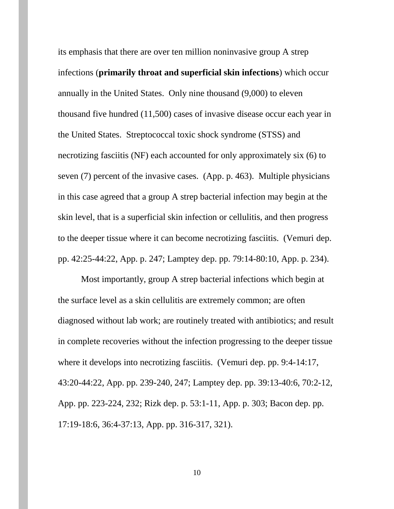its emphasis that there are over ten million noninvasive group A strep infections (**primarily throat and superficial skin infections**) which occur annually in the United States. Only nine thousand (9,000) to eleven thousand five hundred (11,500) cases of invasive disease occur each year in the United States. Streptococcal toxic shock syndrome (STSS) and necrotizing fasciitis (NF) each accounted for only approximately six (6) to seven (7) percent of the invasive cases. (App. p. 463). Multiple physicians in this case agreed that a group A strep bacterial infection may begin at the skin level, that is a superficial skin infection or cellulitis, and then progress to the deeper tissue where it can become necrotizing fasciitis. (Vemuri dep. pp. 42:25-44:22, App. p. 247; Lamptey dep. pp. 79:14-80:10, App. p. 234).

Most importantly, group A strep bacterial infections which begin at the surface level as a skin cellulitis are extremely common; are often diagnosed without lab work; are routinely treated with antibiotics; and result in complete recoveries without the infection progressing to the deeper tissue where it develops into necrotizing fasciitis. (Vemuri dep. pp. 9:4-14:17, 43:20-44:22, App. pp. 239-240, 247; Lamptey dep. pp. 39:13-40:6, 70:2-12, App. pp. 223-224, 232; Rizk dep. p. 53:1-11, App. p. 303; Bacon dep. pp. 17:19-18:6, 36:4-37:13, App. pp. 316-317, 321).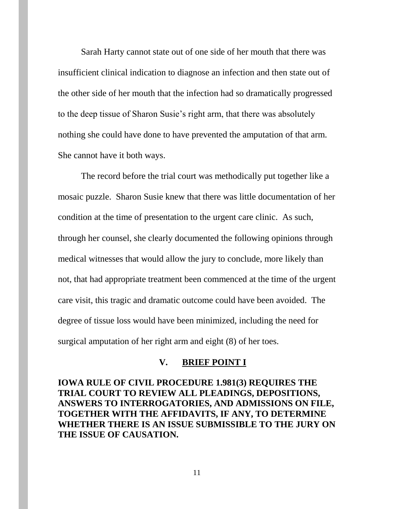Sarah Harty cannot state out of one side of her mouth that there was insufficient clinical indication to diagnose an infection and then state out of the other side of her mouth that the infection had so dramatically progressed to the deep tissue of Sharon Susie's right arm, that there was absolutely nothing she could have done to have prevented the amputation of that arm. She cannot have it both ways.

The record before the trial court was methodically put together like a mosaic puzzle. Sharon Susie knew that there was little documentation of her condition at the time of presentation to the urgent care clinic. As such, through her counsel, she clearly documented the following opinions through medical witnesses that would allow the jury to conclude, more likely than not, that had appropriate treatment been commenced at the time of the urgent care visit, this tragic and dramatic outcome could have been avoided. The degree of tissue loss would have been minimized, including the need for surgical amputation of her right arm and eight (8) of her toes.

#### **V. BRIEF POINT I**

**IOWA RULE OF CIVIL PROCEDURE 1.981(3) REQUIRES THE TRIAL COURT TO REVIEW ALL PLEADINGS, DEPOSITIONS, ANSWERS TO INTERROGATORIES, AND ADMISSIONS ON FILE, TOGETHER WITH THE AFFIDAVITS, IF ANY, TO DETERMINE WHETHER THERE IS AN ISSUE SUBMISSIBLE TO THE JURY ON THE ISSUE OF CAUSATION.**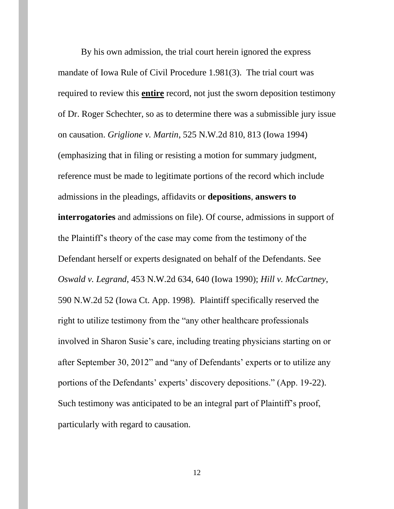By his own admission, the trial court herein ignored the express mandate of Iowa Rule of Civil Procedure 1.981(3). The trial court was required to review this **entire** record, not just the sworn deposition testimony of Dr. Roger Schechter, so as to determine there was a submissible jury issue on causation. *Griglione v. Martin*, 525 N.W.2d 810, 813 (Iowa 1994) (emphasizing that in filing or resisting a motion for summary judgment, reference must be made to legitimate portions of the record which include admissions in the pleadings, affidavits or **depositions**, **answers to interrogatories** and admissions on file). Of course, admissions in support of the Plaintiff's theory of the case may come from the testimony of the Defendant herself or experts designated on behalf of the Defendants. See *Oswald v. Legrand*, 453 N.W.2d 634, 640 (Iowa 1990); *Hill v. McCartney*, 590 N.W.2d 52 (Iowa Ct. App. 1998). Plaintiff specifically reserved the right to utilize testimony from the "any other healthcare professionals involved in Sharon Susie's care, including treating physicians starting on or after September 30, 2012" and "any of Defendants' experts or to utilize any portions of the Defendants' experts' discovery depositions." (App. 19-22). Such testimony was anticipated to be an integral part of Plaintiff's proof, particularly with regard to causation.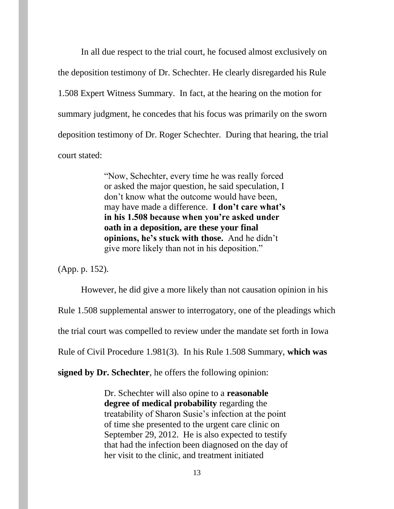In all due respect to the trial court, he focused almost exclusively on the deposition testimony of Dr. Schechter. He clearly disregarded his Rule 1.508 Expert Witness Summary. In fact, at the hearing on the motion for summary judgment, he concedes that his focus was primarily on the sworn deposition testimony of Dr. Roger Schechter. During that hearing, the trial court stated:

> "Now, Schechter, every time he was really forced or asked the major question, he said speculation, I don't know what the outcome would have been, may have made a difference. **I don't care what's in his 1.508 because when you're asked under oath in a deposition, are these your final opinions, he's stuck with those.** And he didn't give more likely than not in his deposition."

(App. p. 152).

However, he did give a more likely than not causation opinion in his

Rule 1.508 supplemental answer to interrogatory, one of the pleadings which

the trial court was compelled to review under the mandate set forth in Iowa

Rule of Civil Procedure 1.981(3). In his Rule 1.508 Summary, **which was** 

**signed by Dr. Schechter**, he offers the following opinion:

Dr. Schechter will also opine to a **reasonable degree of medical probability** regarding the treatability of Sharon Susie's infection at the point of time she presented to the urgent care clinic on September 29, 2012. He is also expected to testify that had the infection been diagnosed on the day of her visit to the clinic, and treatment initiated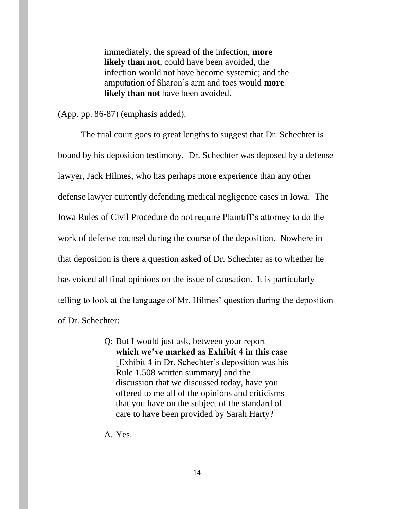immediately, the spread of the infection, **more likely than not**, could have been avoided, the infection would not have become systemic; and the amputation of Sharon's arm and toes would **more likely than not** have been avoided.

(App. pp. 86-87) (emphasis added).

The trial court goes to great lengths to suggest that Dr. Schechter is bound by his deposition testimony. Dr. Schechter was deposed by a defense lawyer, Jack Hilmes, who has perhaps more experience than any other defense lawyer currently defending medical negligence cases in Iowa. The Iowa Rules of Civil Procedure do not require Plaintiff's attorney to do the work of defense counsel during the course of the deposition. Nowhere in that deposition is there a question asked of Dr. Schechter as to whether he has voiced all final opinions on the issue of causation. It is particularly telling to look at the language of Mr. Hilmes' question during the deposition of Dr. Schechter:

> Q: But I would just ask, between your report **which we've marked as Exhibit 4 in this case** [Exhibit 4 in Dr. Schechter's deposition was his Rule 1.508 written summary] and the discussion that we discussed today, have you offered to me all of the opinions and criticisms that you have on the subject of the standard of care to have been provided by Sarah Harty?

A. Yes.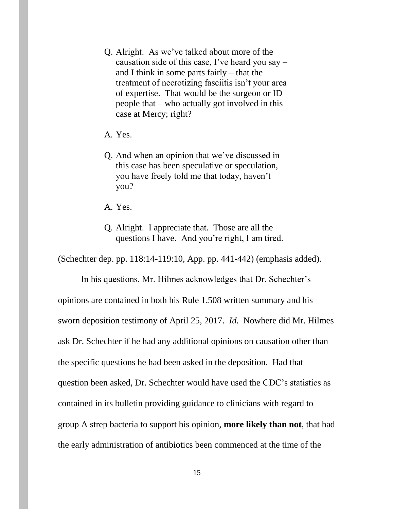- Q. Alright. As we've talked about more of the causation side of this case, I've heard you say – and I think in some parts fairly – that the treatment of necrotizing fasciitis isn't your area of expertise. That would be the surgeon or ID people that – who actually got involved in this case at Mercy; right?
- A. Yes.
- Q. And when an opinion that we've discussed in this case has been speculative or speculation, you have freely told me that today, haven't you?
- A. Yes.
- Q. Alright. I appreciate that. Those are all the questions I have. And you're right, I am tired.

(Schechter dep. pp. 118:14-119:10, App. pp. 441-442) (emphasis added).

In his questions, Mr. Hilmes acknowledges that Dr. Schechter's opinions are contained in both his Rule 1.508 written summary and his sworn deposition testimony of April 25, 2017. *Id.* Nowhere did Mr. Hilmes ask Dr. Schechter if he had any additional opinions on causation other than the specific questions he had been asked in the deposition. Had that question been asked, Dr. Schechter would have used the CDC's statistics as contained in its bulletin providing guidance to clinicians with regard to group A strep bacteria to support his opinion, **more likely than not**, that had the early administration of antibiotics been commenced at the time of the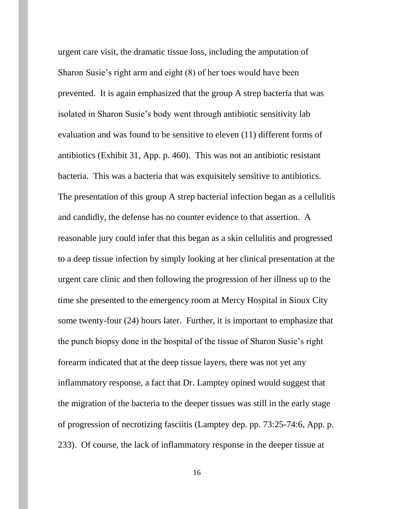urgent care visit, the dramatic tissue loss, including the amputation of Sharon Susie's right arm and eight (8) of her toes would have been prevented. It is again emphasized that the group A strep bacteria that was isolated in Sharon Susie's body went through antibiotic sensitivity lab evaluation and was found to be sensitive to eleven (11) different forms of antibiotics (Exhibit 31, App. p. 460). This was not an antibiotic resistant bacteria. This was a bacteria that was exquisitely sensitive to antibiotics. The presentation of this group A strep bacterial infection began as a cellulitis and candidly, the defense has no counter evidence to that assertion. A reasonable jury could infer that this began as a skin cellulitis and progressed to a deep tissue infection by simply looking at her clinical presentation at the urgent care clinic and then following the progression of her illness up to the time she presented to the emergency room at Mercy Hospital in Sioux City some twenty-four (24) hours later. Further, it is important to emphasize that the punch biopsy done in the hospital of the tissue of Sharon Susie's right forearm indicated that at the deep tissue layers, there was not yet any inflammatory response, a fact that Dr. Lamptey opined would suggest that the migration of the bacteria to the deeper tissues was still in the early stage of progression of necrotizing fasciitis (Lamptey dep. pp. 73:25-74:6, App. p. 233). Of course, the lack of inflammatory response in the deeper tissue at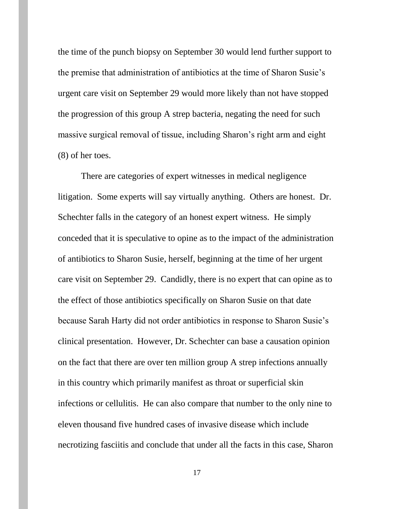the time of the punch biopsy on September 30 would lend further support to the premise that administration of antibiotics at the time of Sharon Susie's urgent care visit on September 29 would more likely than not have stopped the progression of this group A strep bacteria, negating the need for such massive surgical removal of tissue, including Sharon's right arm and eight (8) of her toes.

There are categories of expert witnesses in medical negligence litigation. Some experts will say virtually anything. Others are honest. Dr. Schechter falls in the category of an honest expert witness. He simply conceded that it is speculative to opine as to the impact of the administration of antibiotics to Sharon Susie, herself, beginning at the time of her urgent care visit on September 29. Candidly, there is no expert that can opine as to the effect of those antibiotics specifically on Sharon Susie on that date because Sarah Harty did not order antibiotics in response to Sharon Susie's clinical presentation. However, Dr. Schechter can base a causation opinion on the fact that there are over ten million group A strep infections annually in this country which primarily manifest as throat or superficial skin infections or cellulitis. He can also compare that number to the only nine to eleven thousand five hundred cases of invasive disease which include necrotizing fasciitis and conclude that under all the facts in this case, Sharon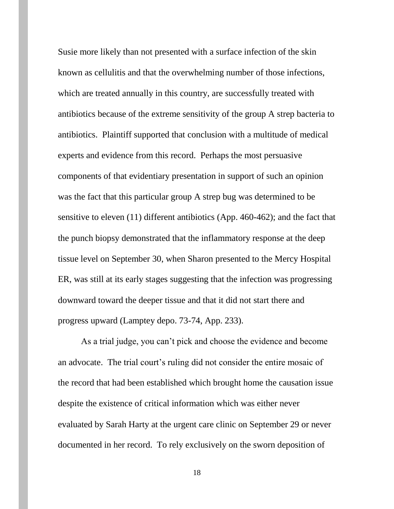Susie more likely than not presented with a surface infection of the skin known as cellulitis and that the overwhelming number of those infections, which are treated annually in this country, are successfully treated with antibiotics because of the extreme sensitivity of the group A strep bacteria to antibiotics. Plaintiff supported that conclusion with a multitude of medical experts and evidence from this record. Perhaps the most persuasive components of that evidentiary presentation in support of such an opinion was the fact that this particular group A strep bug was determined to be sensitive to eleven (11) different antibiotics (App. 460-462); and the fact that the punch biopsy demonstrated that the inflammatory response at the deep tissue level on September 30, when Sharon presented to the Mercy Hospital ER, was still at its early stages suggesting that the infection was progressing downward toward the deeper tissue and that it did not start there and progress upward (Lamptey depo. 73-74, App. 233).

As a trial judge, you can't pick and choose the evidence and become an advocate. The trial court's ruling did not consider the entire mosaic of the record that had been established which brought home the causation issue despite the existence of critical information which was either never evaluated by Sarah Harty at the urgent care clinic on September 29 or never documented in her record. To rely exclusively on the sworn deposition of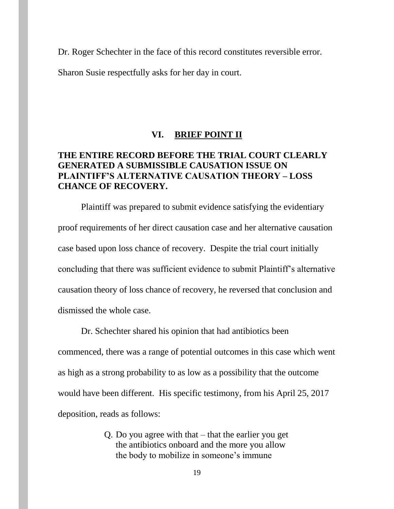Dr. Roger Schechter in the face of this record constitutes reversible error.

Sharon Susie respectfully asks for her day in court.

#### **VI. BRIEF POINT II**

## **THE ENTIRE RECORD BEFORE THE TRIAL COURT CLEARLY GENERATED A SUBMISSIBLE CAUSATION ISSUE ON PLAINTIFF'S ALTERNATIVE CAUSATION THEORY – LOSS CHANCE OF RECOVERY.**

Plaintiff was prepared to submit evidence satisfying the evidentiary proof requirements of her direct causation case and her alternative causation case based upon loss chance of recovery. Despite the trial court initially concluding that there was sufficient evidence to submit Plaintiff's alternative causation theory of loss chance of recovery, he reversed that conclusion and dismissed the whole case.

Dr. Schechter shared his opinion that had antibiotics been commenced, there was a range of potential outcomes in this case which went as high as a strong probability to as low as a possibility that the outcome would have been different. His specific testimony, from his April 25, 2017 deposition, reads as follows:

> Q. Do you agree with that – that the earlier you get the antibiotics onboard and the more you allow the body to mobilize in someone's immune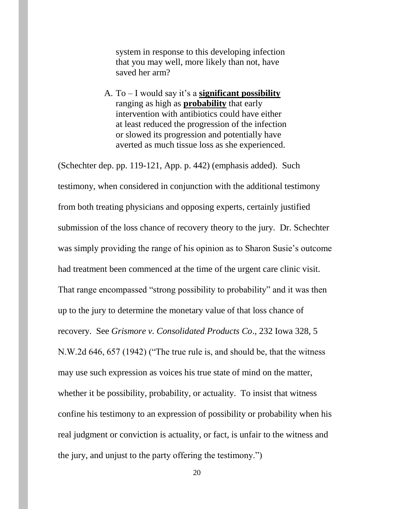system in response to this developing infection that you may well, more likely than not, have saved her arm?

A. To – I would say it's a **significant possibility** ranging as high as **probability** that early intervention with antibiotics could have either at least reduced the progression of the infection or slowed its progression and potentially have averted as much tissue loss as she experienced.

(Schechter dep. pp. 119-121, App. p. 442) (emphasis added). Such testimony, when considered in conjunction with the additional testimony from both treating physicians and opposing experts, certainly justified submission of the loss chance of recovery theory to the jury. Dr. Schechter was simply providing the range of his opinion as to Sharon Susie's outcome had treatment been commenced at the time of the urgent care clinic visit. That range encompassed "strong possibility to probability" and it was then up to the jury to determine the monetary value of that loss chance of recovery. See *Grismore v. Consolidated Products Co*., 232 Iowa 328, 5 N.W.2d 646, 657 (1942) ("The true rule is, and should be, that the witness may use such expression as voices his true state of mind on the matter, whether it be possibility, probability, or actuality. To insist that witness confine his testimony to an expression of possibility or probability when his real judgment or conviction is actuality, or fact, is unfair to the witness and the jury, and unjust to the party offering the testimony.")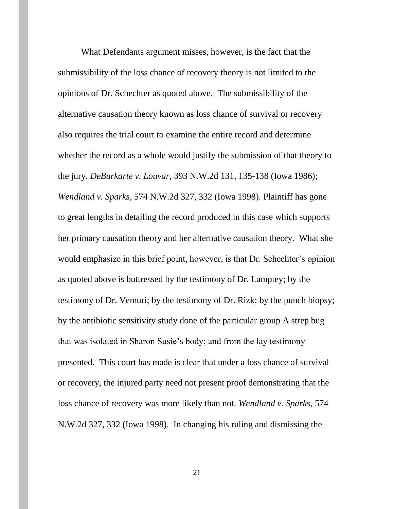What Defendants argument misses, however, is the fact that the submissibility of the loss chance of recovery theory is not limited to the opinions of Dr. Schechter as quoted above. The submissibility of the alternative causation theory known as loss chance of survival or recovery also requires the trial court to examine the entire record and determine whether the record as a whole would justify the submission of that theory to the jury. *DeBurkarte v. Louvar*, 393 N.W.2d 131, 135-138 (Iowa 1986); *Wendland v. Sparks*, 574 N.W.2d 327, 332 (Iowa 1998). Plaintiff has gone to great lengths in detailing the record produced in this case which supports her primary causation theory and her alternative causation theory. What she would emphasize in this brief point, however, is that Dr. Schechter's opinion as quoted above is buttressed by the testimony of Dr. Lamptey; by the testimony of Dr. Vemuri; by the testimony of Dr. Rizk; by the punch biopsy; by the antibiotic sensitivity study done of the particular group A strep bug that was isolated in Sharon Susie's body; and from the lay testimony presented. This court has made is clear that under a loss chance of survival or recovery, the injured party need not present proof demonstrating that the loss chance of recovery was more likely than not. *Wendland v. Sparks*, 574 N.W.2d 327, 332 (Iowa 1998). In changing his ruling and dismissing the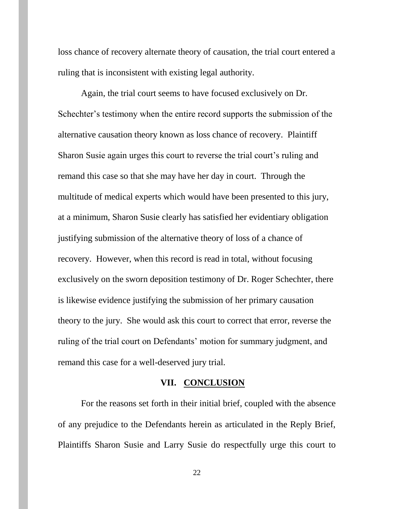loss chance of recovery alternate theory of causation, the trial court entered a ruling that is inconsistent with existing legal authority.

Again, the trial court seems to have focused exclusively on Dr. Schechter's testimony when the entire record supports the submission of the alternative causation theory known as loss chance of recovery. Plaintiff Sharon Susie again urges this court to reverse the trial court's ruling and remand this case so that she may have her day in court. Through the multitude of medical experts which would have been presented to this jury, at a minimum, Sharon Susie clearly has satisfied her evidentiary obligation justifying submission of the alternative theory of loss of a chance of recovery. However, when this record is read in total, without focusing exclusively on the sworn deposition testimony of Dr. Roger Schechter, there is likewise evidence justifying the submission of her primary causation theory to the jury. She would ask this court to correct that error, reverse the ruling of the trial court on Defendants' motion for summary judgment, and remand this case for a well-deserved jury trial.

#### **VII. CONCLUSION**

For the reasons set forth in their initial brief, coupled with the absence of any prejudice to the Defendants herein as articulated in the Reply Brief, Plaintiffs Sharon Susie and Larry Susie do respectfully urge this court to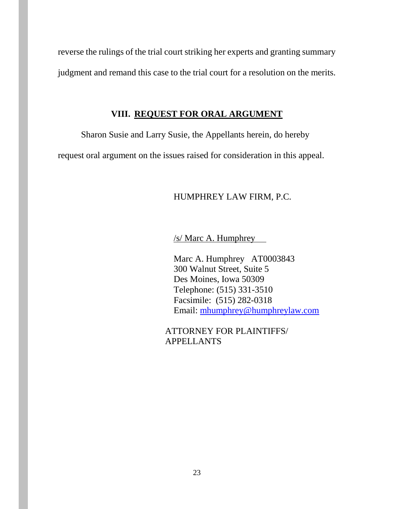reverse the rulings of the trial court striking her experts and granting summary judgment and remand this case to the trial court for a resolution on the merits.

#### **VIII. REQUEST FOR ORAL ARGUMENT**

Sharon Susie and Larry Susie, the Appellants herein, do hereby

request oral argument on the issues raised for consideration in this appeal.

#### HUMPHREY LAW FIRM, P.C.

/s/ Marc A. Humphrey

Marc A. Humphrey AT0003843 300 Walnut Street, Suite 5 Des Moines, Iowa 50309 Telephone: (515) 331-3510 Facsimile: (515) 282-0318 Email: [mhumphrey@humphreylaw.com](mailto:mhumphrey@humphreylaw.com)

ATTORNEY FOR PLAINTIFFS/ APPELLANTS